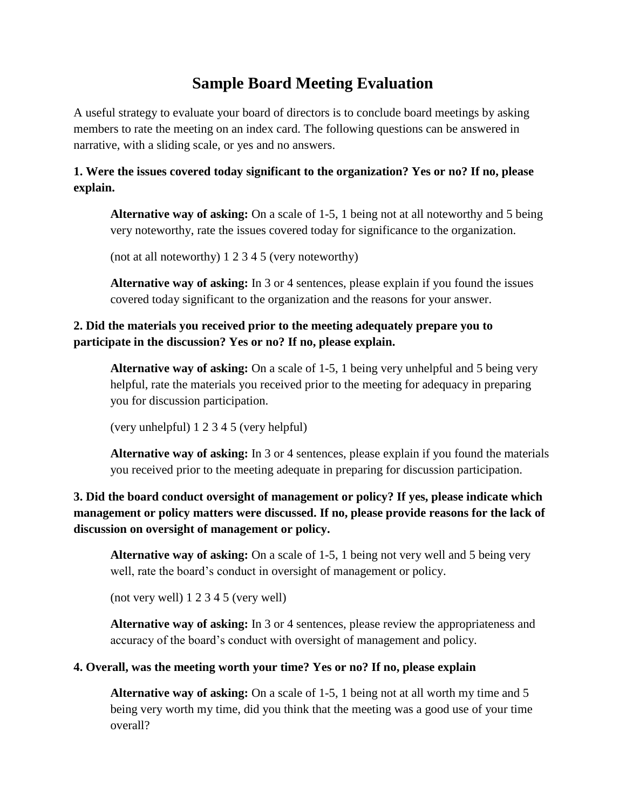# **Sample Board Meeting Evaluation**

A useful strategy to evaluate your board of directors is to conclude board meetings by asking members to rate the meeting on an index card. The following questions can be answered in narrative, with a sliding scale, or yes and no answers.

## **1. Were the issues covered today significant to the organization? Yes or no? If no, please explain.**

**Alternative way of asking:** On a scale of 1-5, 1 being not at all noteworthy and 5 being very noteworthy, rate the issues covered today for significance to the organization.

(not at all noteworthy) 1 2 3 4 5 (very noteworthy)

**Alternative way of asking:** In 3 or 4 sentences, please explain if you found the issues covered today significant to the organization and the reasons for your answer.

### **2. Did the materials you received prior to the meeting adequately prepare you to participate in the discussion? Yes or no? If no, please explain.**

**Alternative way of asking:** On a scale of 1-5, 1 being very unhelpful and 5 being very helpful, rate the materials you received prior to the meeting for adequacy in preparing you for discussion participation.

(very unhelpful) 1 2 3 4 5 (very helpful)

**Alternative way of asking:** In 3 or 4 sentences, please explain if you found the materials you received prior to the meeting adequate in preparing for discussion participation.

## **3. Did the board conduct oversight of management or policy? If yes, please indicate which management or policy matters were discussed. If no, please provide reasons for the lack of discussion on oversight of management or policy.**

**Alternative way of asking:** On a scale of 1-5, 1 being not very well and 5 being very well, rate the board's conduct in oversight of management or policy.

(not very well) 1 2 3 4 5 (very well)

**Alternative way of asking:** In 3 or 4 sentences, please review the appropriateness and accuracy of the board's conduct with oversight of management and policy.

#### **4. Overall, was the meeting worth your time? Yes or no? If no, please explain**

**Alternative way of asking:** On a scale of 1-5, 1 being not at all worth my time and 5 being very worth my time, did you think that the meeting was a good use of your time overall?